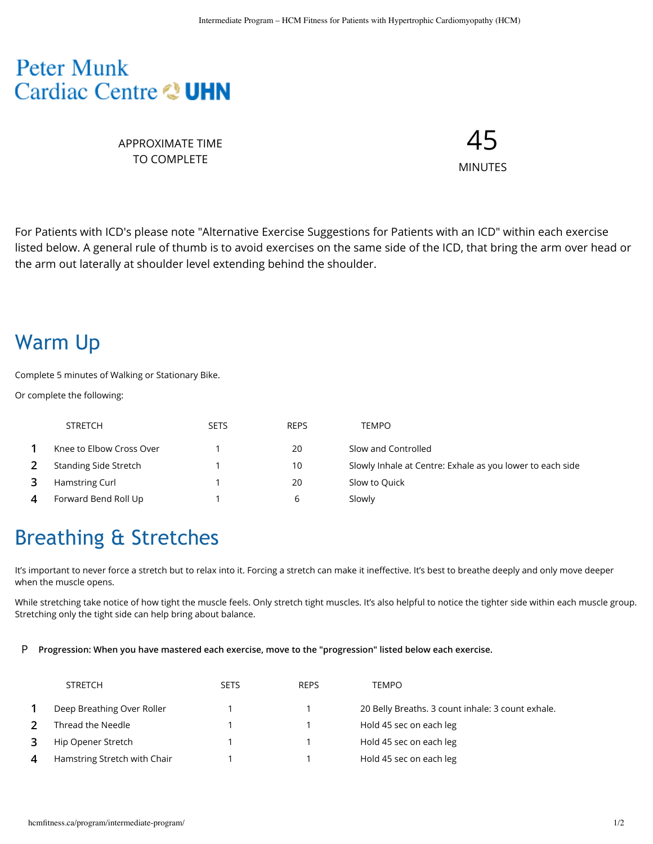#### **Peter Munk** Cardiac Centre & UHN

APPROXIMATE TIME TO COMPLETE

45 MINUTES

For Patients with ICD's please note "Alternative Exercise Suggestions for Patients with an ICD" within each exercise listed below. A general rule of thumb is to avoid exercises on the same side of the ICD, that bring the arm over head or the arm out laterally at shoulder level extending behind the shoulder.

### Warm Up

Complete 5 minutes of Walking or Stationary Bike.

Or complete the following:

|   | <b>STRETCH</b>           | <b>SETS</b> | <b>REPS</b> | <b>TEMPO</b>                                              |
|---|--------------------------|-------------|-------------|-----------------------------------------------------------|
|   | Knee to Elbow Cross Over |             | 20          | Slow and Controlled                                       |
|   | Standing Side Stretch    |             | 10          | Slowly Inhale at Centre: Exhale as you lower to each side |
|   | Hamstring Curl           |             | 20          | Slow to Quick                                             |
| 4 | Forward Bend Roll Up     |             | b           | Slowly                                                    |

# Breathing & Stretches

It's important to never force a stretch but to relax into it. Forcing a stretch can make it ineffective. It's best to breathe deeply and only move deeper when the muscle opens.

While stretching take notice of how tight the muscle feels. Only stretch tight muscles. It's also helpful to notice the tighter side within each muscle group. Stretching only the tight side can help bring about balance.

#### P **Progression: When you have mastered each exercise, move to the "progression" listed below each exercise.**

| <b>STRETCH</b>               | <b>SETS</b> | <b>REPS</b> | <b>TEMPO</b>                                      |
|------------------------------|-------------|-------------|---------------------------------------------------|
| Deep Breathing Over Roller   |             |             | 20 Belly Breaths. 3 count inhale: 3 count exhale. |
| Thread the Needle            |             |             | Hold 45 sec on each leg                           |
| Hip Opener Stretch           |             |             | Hold 45 sec on each leg                           |
| Hamstring Stretch with Chair |             |             | Hold 45 sec on each leg                           |